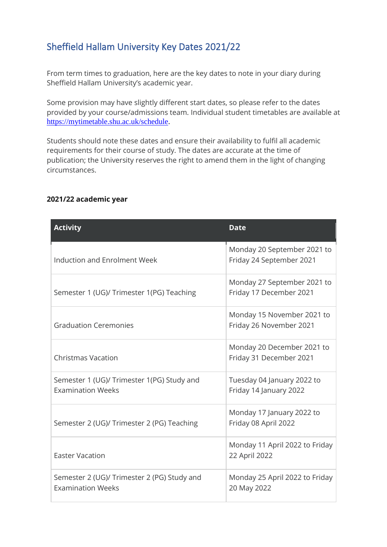## Sheffield Hallam University Key Dates 2021/22

From term times to graduation, here are the key dates to note in your diary during Sheffield Hallam University's academic year.

Some provision may have slightly different start dates, so please refer to the dates provided by your course/admissions team. Individual student timetables are available at [https://mytimetable.shu.ac.uk/schedule.](https://mytimetable.shu.ac.uk/schedule)

Students should note these dates and ensure their availability to fulfil all academic requirements for their course of study. The dates are accurate at the time of publication; the University reserves the right to amend them in the light of changing circumstances.

| <b>Activity</b>                                                         | <b>Date</b>                                             |
|-------------------------------------------------------------------------|---------------------------------------------------------|
| Induction and Enrolment Week                                            | Monday 20 September 2021 to<br>Friday 24 September 2021 |
| Semester 1 (UG)/ Trimester 1(PG) Teaching                               | Monday 27 September 2021 to<br>Friday 17 December 2021  |
| <b>Graduation Ceremonies</b>                                            | Monday 15 November 2021 to<br>Friday 26 November 2021   |
| <b>Christmas Vacation</b>                                               | Monday 20 December 2021 to<br>Friday 31 December 2021   |
| Semester 1 (UG)/ Trimester 1(PG) Study and<br><b>Examination Weeks</b>  | Tuesday 04 January 2022 to<br>Friday 14 January 2022    |
| Semester 2 (UG)/ Trimester 2 (PG) Teaching                              | Monday 17 January 2022 to<br>Friday 08 April 2022       |
| <b>Easter Vacation</b>                                                  | Monday 11 April 2022 to Friday<br>22 April 2022         |
| Semester 2 (UG)/ Trimester 2 (PG) Study and<br><b>Examination Weeks</b> | Monday 25 April 2022 to Friday<br>20 May 2022           |

## **2021/22 academic year**